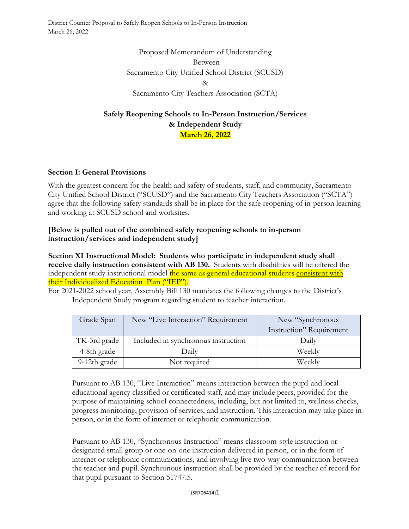District Counter Proposal to Safely Reopen Schools to In-Person Instruction March 26, 2022

> Proposed Memorandum of Understanding Between Sacramento City Unified School District (SCUSD) & Sacramento City Teachers Association (SCTA)

# **Safely Reopening Schools to In-Person Instruction/Services & Independent Study March 26, 2022**

## **Section I: General Provisions**

With the greatest concern for the health and safety of students, staff, and community, Sacramento City Unified School District ("SCUSD") and the Sacramento City Teachers Association ("SCTA") agree that the following safety standards shall be in place for the safe reopening of in-person learning and working at SCUSD school and worksites.

#### **[Below is pulled out of the combined safely reopening schools to in-person instruction/services and independent study]**

**Section XI Instructional Model: Students who participate in independent study shall receive daily instruction consistent with AB 130.** Students with disabilities will be offered the independent study instructional model the same as general educational students consistent with their Individualized Education Plan ("IEP").

For 2021-2022 school year, Assembly Bill 130 mandates the following changes to the District's Independent Study program regarding student to teacher interaction.

| Grade Span   | New "Live Interaction" Requirement  | New "Synchronous"        |
|--------------|-------------------------------------|--------------------------|
|              |                                     | Instruction" Requirement |
| TK-3rd grade | Included in synchronous instruction | Daily                    |
| 4-8th grade  | Daily                               | Weekly                   |
| 9-12th grade | Not required                        | Weekly                   |

Pursuant to AB 130, "Live Interaction" means interaction between the pupil and local educational agency classified or certificated staff, and may include peers, provided for the purpose of maintaining school connectedness, including, but not limited to, wellness checks, progress monitoring, provision of services, and instruction. This interaction may take place in person, or in the form of internet or telephonic communication.

Pursuant to AB 130, "Synchronous Instruction" means classroom-style instruction or designated small group or one-on-one instruction delivered in person, or in the form of internet or telephonic communications, and involving live two-way communication between the teacher and pupil. Synchronous instruction shall be provided by the teacher of record for that pupil pursuant to Section 51747.5.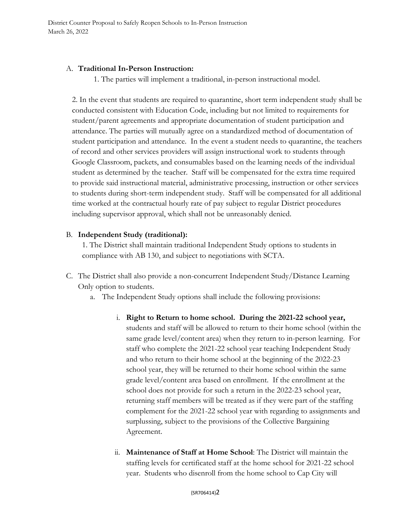### A. **Traditional In-Person Instruction:**

1. The parties will implement a traditional, in-person instructional model.

2. In the event that students are required to quarantine, short term independent study shall be conducted consistent with Education Code, including but not limited to requirements for student/parent agreements and appropriate documentation of student participation and attendance. The parties will mutually agree on a standardized method of documentation of student participation and attendance. In the event a student needs to quarantine, the teachers of record and other services providers will assign instructional work to students through Google Classroom, packets, and consumables based on the learning needs of the individual student as determined by the teacher. Staff will be compensated for the extra time required to provide said instructional material, administrative processing, instruction or other services to students during short-term independent study. Staff will be compensated for all additional time worked at the contractual hourly rate of pay subject to regular District procedures including supervisor approval, which shall not be unreasonably denied.

## B. **Independent Study (traditional):**

1. The District shall maintain traditional Independent Study options to students in compliance with AB 130, and subject to negotiations with SCTA.

- C. The District shall also provide a non-concurrent Independent Study/Distance Learning Only option to students.
	- a. The Independent Study options shall include the following provisions:
		- i. **Right to Return to home school. During the 2021-22 school year,**  students and staff will be allowed to return to their home school (within the same grade level/content area) when they return to in-person learning. For staff who complete the 2021-22 school year teaching Independent Study and who return to their home school at the beginning of the 2022-23 school year, they will be returned to their home school within the same grade level/content area based on enrollment. If the enrollment at the school does not provide for such a return in the 2022-23 school year, returning staff members will be treated as if they were part of the staffing complement for the 2021-22 school year with regarding to assignments and surplussing, subject to the provisions of the Collective Bargaining Agreement.
		- ii. **Maintenance of Staff at Home School**: The District will maintain the staffing levels for certificated staff at the home school for 2021-22 school year. Students who disenroll from the home school to Cap City will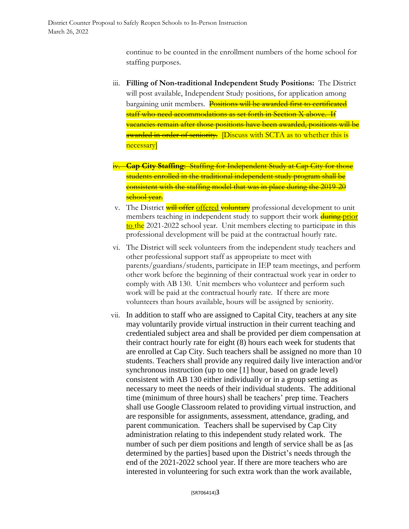continue to be counted in the enrollment numbers of the home school for staffing purposes.

- iii. **Filling of Non-traditional Independent Study Positions:** The District will post available, Independent Study positions, for application among bargaining unit members. Positions will be awarded first to certificated staff who need accommodations as set forth in Section X above. If vacancies remain after those positions have been awarded, positions will be awarded in order of seniority. [Discuss with SCTA as to whether this is necessary]
- **Cap City Staffing:** Staffing for Independent Study at Cap City for those students enrolled in the traditional independent study program shall be consistent with the staffing model that was in place during the 2019-20 school vear.
- v. The District will offer offered voluntary professional development to unit members teaching in independent study to support their work during prior to the 2021-2022 school year. Unit members electing to participate in this professional development will be paid at the contractual hourly rate.
- vi. The District will seek volunteers from the independent study teachers and other professional support staff as appropriate to meet with parents/guardians/students, participate in IEP team meetings, and perform other work before the beginning of their contractual work year in order to comply with AB 130. Unit members who volunteer and perform such work will be paid at the contractual hourly rate. If there are more volunteers than hours available, hours will be assigned by seniority.
- vii. In addition to staff who are assigned to Capital City, teachers at any site may voluntarily provide virtual instruction in their current teaching and credentialed subject area and shall be provided per diem compensation at their contract hourly rate for eight (8) hours each week for students that are enrolled at Cap City. Such teachers shall be assigned no more than 10 students. Teachers shall provide any required daily live interaction and/or synchronous instruction (up to one [1] hour, based on grade level) consistent with AB 130 either individually or in a group setting as necessary to meet the needs of their individual students. The additional time (minimum of three hours) shall be teachers' prep time. Teachers shall use Google Classroom related to providing virtual instruction, and are responsible for assignments, assessment, attendance, grading, and parent communication. Teachers shall be supervised by Cap City administration relating to this independent study related work. The number of such per diem positions and length of service shall be as [as determined by the parties] based upon the District's needs through the end of the 2021-2022 school year. If there are more teachers who are interested in volunteering for such extra work than the work available,